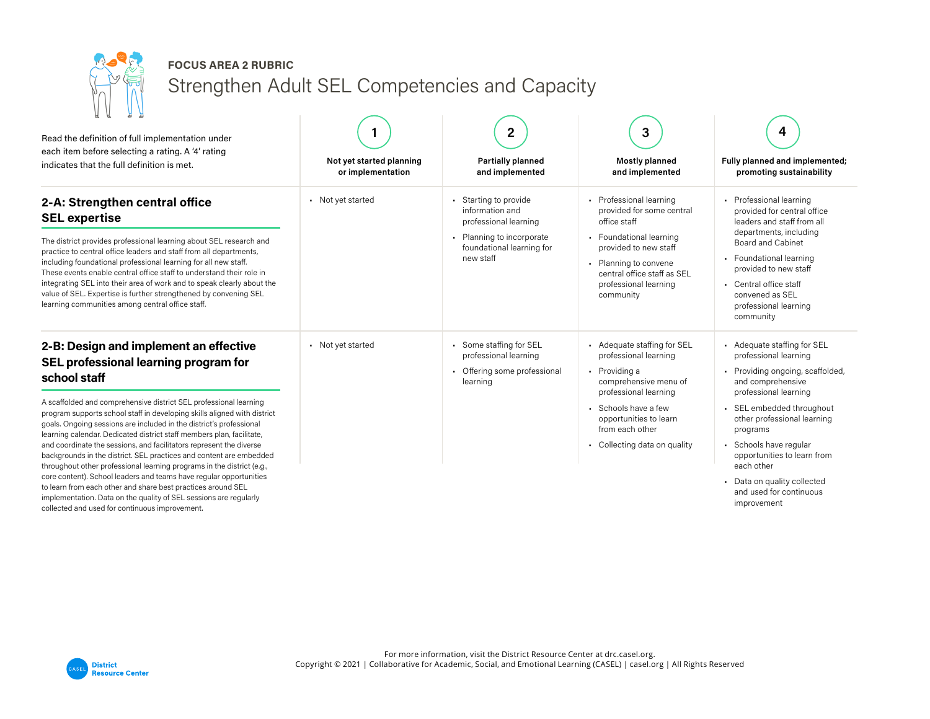

## **FOCUS AREA 2 RUBRIC**

Strengthen Adult SEL Competencies and Capacity

| A A<br>Я.<br>Read the definition of full implementation under<br>each item before selecting a rating. A '4' rating<br>indicates that the full definition is met.                                                                                                                                                                                                                                                                                                                                                                                                                                                                                                                                                                                                                                                                                                                      | Not yet started planning<br>or implementation | 2<br><b>Partially planned</b><br>and implemented                                                                                       | 3<br><b>Mostly planned</b><br>and implemented                                                                                                                                                                              | 4<br>Fully planned and implemented;<br>promoting sustainability                                                                                                                                                                                                                                                                                            |
|---------------------------------------------------------------------------------------------------------------------------------------------------------------------------------------------------------------------------------------------------------------------------------------------------------------------------------------------------------------------------------------------------------------------------------------------------------------------------------------------------------------------------------------------------------------------------------------------------------------------------------------------------------------------------------------------------------------------------------------------------------------------------------------------------------------------------------------------------------------------------------------|-----------------------------------------------|----------------------------------------------------------------------------------------------------------------------------------------|----------------------------------------------------------------------------------------------------------------------------------------------------------------------------------------------------------------------------|------------------------------------------------------------------------------------------------------------------------------------------------------------------------------------------------------------------------------------------------------------------------------------------------------------------------------------------------------------|
| 2-A: Strengthen central office<br><b>SEL expertise</b><br>The district provides professional learning about SEL research and<br>practice to central office leaders and staff from all departments,<br>including foundational professional learning for all new staff.<br>These events enable central office staff to understand their role in<br>integrating SEL into their area of work and to speak clearly about the<br>value of SEL. Expertise is further strengthened by convening SEL<br>learning communities among central office staff.                                                                                                                                                                                                                                                                                                                                       | • Not yet started                             | Starting to provide<br>information and<br>professional learning<br>• Planning to incorporate<br>foundational learning for<br>new staff | • Professional learning<br>provided for some central<br>office staff<br>• Foundational learning<br>provided to new staff<br>• Planning to convene<br>central office staff as SEL<br>professional learning<br>community     | Professional learning<br>provided for central office<br>leaders and staff from all<br>departments, including<br><b>Board and Cabinet</b><br>• Foundational learning<br>provided to new staff<br>• Central office staff<br>convened as SEL<br>professional learning<br>community                                                                            |
| 2-B: Design and implement an effective<br>SEL professional learning program for<br>school staff<br>A scaffolded and comprehensive district SEL professional learning<br>program supports school staff in developing skills aligned with district<br>goals. Ongoing sessions are included in the district's professional<br>learning calendar. Dedicated district staff members plan, facilitate,<br>and coordinate the sessions, and facilitators represent the diverse<br>backgrounds in the district. SEL practices and content are embedded<br>throughout other professional learning programs in the district (e.g.,<br>core content). School leaders and teams have regular opportunities<br>to learn from each other and share best practices around SEL<br>implementation. Data on the quality of SEL sessions are regularly<br>collected and used for continuous improvement. | • Not yet started                             | Some staffing for SEL<br>professional learning<br>Offering some professional<br>learning                                               | - Adequate staffing for SEL<br>professional learning<br>• Providing a<br>comprehensive menu of<br>professional learning<br>Schools have a few<br>opportunities to learn<br>from each other<br>• Collecting data on quality | - Adequate staffing for SEL<br>professional learning<br>Providing ongoing, scaffolded,<br>and comprehensive<br>professional learning<br>· SEL embedded throughout<br>other professional learning<br>programs<br>· Schools have regular<br>opportunities to learn from<br>each other<br>Data on quality collected<br>and used for continuous<br>improvement |